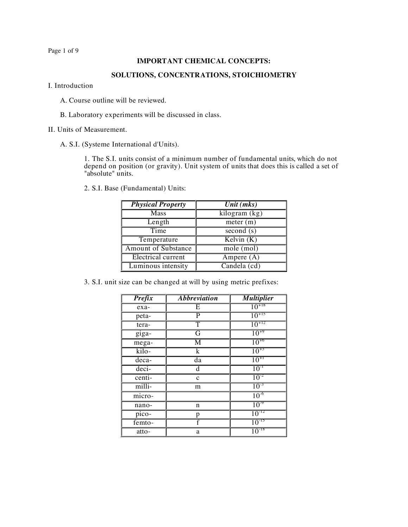Page 1 of 9

## **IMPORTANT CHEMICAL CONCEPTS:**

## **SOLUTIONS, CONCENTRATIONS, STOICHIOMETRY**

I. Introduction

- A. Course outline will be reviewed.
- B. Laboratory experiments will be discussed in class.

II. Units of Measurement.

A. S.I. (Systeme International d'Units).

1. The S.I. units consist of a minimum number of fundamental units, which do not depend on position (or gravity). Unit system of units that does this is called a set of "absolute" units.

2. S.I. Base (Fundamental) Units:

| <b>Physical Property</b>   | Unit (mks)                 |
|----------------------------|----------------------------|
| Mass                       | $\overline{kilogram}$ (kg) |
| Length                     | meter (m)                  |
| Time                       | second $(s)$               |
| Temperature                | Kelvin $(K)$               |
| <b>Amount of Substance</b> | $mole$ (mol)               |
| <b>Electrical current</b>  | Ampere (A)                 |
| Luminous intensity         | Candela (cd)               |

3. S.I. unit size can be changed at will by using metric prefixes:

| <b>Prefix</b> | <i><b>Abbreviation</b></i> | <i><b>Multiplier</b></i> |
|---------------|----------------------------|--------------------------|
| exa-          | E                          | $10^{+18}$               |
| peta-         | P                          | $10^{+15}$               |
| tera-         | T                          | $10^{+12}$               |
| giga-         | $\overline{G}$             | $10^{+9}$                |
| mega-         | $\overline{M}$             | $10^{+6}$                |
| kilo-         | $\overline{\mathbf{k}}$    | $10^{+3}$                |
| deca-         | da                         | $10^{+1}$                |
| deci-         | d                          | $10^{-1}$                |
| centi-        | $\mathbf c$                | $10^{-2}$                |
| milli-        | m                          | $10^{-3}$                |
| micro-        |                            | $10^{-6}$                |
| nano-         | n                          | 10 <sup>9</sup>          |
| pico-         | p                          | $10^{-12}$               |
| femto-        |                            | $10^{-15}$               |
| atto-         | a                          | $10^{-18}$               |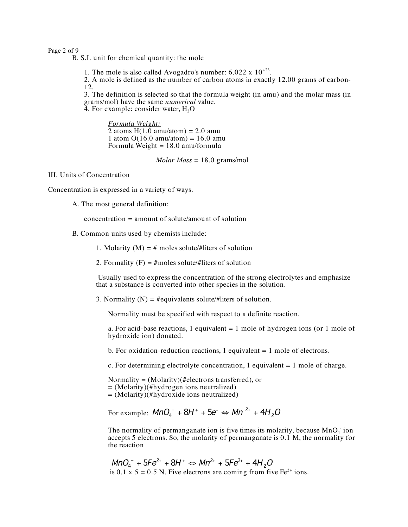Page 2 of 9

B. S.I. unit for chemical quantity: the mole

1. The mole is also called Avogadro's number:  $6.022 \times 10^{+23}$ .

2. A mole is defined as the number of carbon atoms in exactly 12.00 grams of carbon-12.

3. The definition is selected so that the formula weight (in amu) and the molar mass (in grams/mol) have the same *numerical* value.<br>4. For example: consider water, H<sub>2</sub>O

*Formula Weight:*  $2$  atoms  $H(1.0)$  amu/atom) = 2.0 amu 1 atom  $O(16.0 \text{ amu/atom}) = 16.0 \text{ amu}$ Formula Weight = 18.0 amu/formula

*Molar Mass* = 18.0 grams/mol

III. Units of Concentration

Concentration is expressed in a variety of ways.

A. The most general definition:

concentration = amount of solute/amount of solution

B. Common units used by chemists include:

1. Molarity  $(M) = #$  moles solute/#liters of solution

2. Formality  $(F) = \text{#moles solute}/\text{#liters of solution}$ 

Usually used to express the concentration of the strong electrolytes and emphasize that a substance is converted into other species in the solution.

3. Normality  $(N) = \text{\#equivalents}$  solute/#liters of solution.

Normality must be specified with respect to a definite reaction.

a. For acid-base reactions, 1 equivalent  $= 1$  mole of hydrogen ions (or 1 mole of hydroxide ion) donated.

b. For oxidation-reduction reactions, 1 equivalent  $= 1$  mole of electrons.

c. For determining electrolyte concentration, 1 equivalent  $= 1$  mole of charge.

Normality = (Molarity)(#electrons transferred), or = (Molarity)(#hydrogen ions neutralized) = (Molarity)(#hydroxide ions neutralized)

For example:  $MnO_4^-$  +  $8H^+$  +  $5e^ \Leftrightarrow$   $Mn^{2+}$  +  $4H_2O$ 

The normality of permanganate ion is five times its molarity, because  $MnO<sub>4</sub>$  ion accepts 5 electrons. So, the molarity of permanganate is 0.1 M, the normality for the reaction

$$
MnO4- + 5Fe2+ + 8H+ \Leftrightarrow Mn2+ + 5Fe3+ + 4H2O
$$
  
is 0.1 x 5 = 0.5 N. Five electrons are coming from five Fe<sup>2+</sup> ions.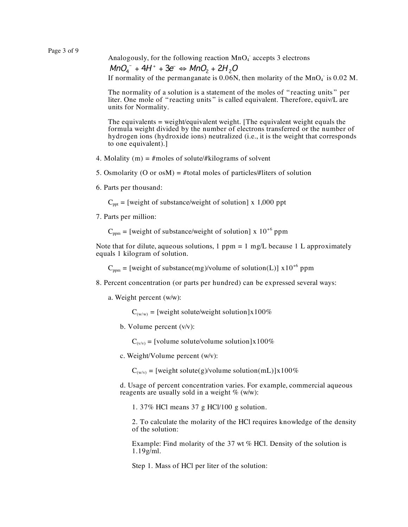Analogously, for the following reaction  $MnO<sub>4</sub>$  accepts 3 electrons

 $MnO<sub>4</sub><sup>-</sup> + 4H<sup>+</sup> + 3e<sup>-</sup> \Leftrightarrow MnO<sub>2</sub> + 2H<sub>2</sub>O$ 

If normality of the permanganate is 0.06N, then molarity of the  $MnO<sub>4</sub>$  is 0.02 M.

The normality of a solution is a statement of the moles of " reacting units " per liter. One mole of "reacting units" is called equivalent. Therefore, equiv/L are units for Normality.

The equivalents = weight/equivalent weight. [The equivalent weight equals the formula weight divided by the number of electrons transferred or the number of hydrogen ions (hydroxide ions) neutralized (i.e., it is the weight that corresponds to one equivalent).]

- 4. Molality (m) =  $\#$ moles of solute/ $\#$ kilograms of solvent
- 5. Osmolarity (O or osM) = #total moles of particles/#liters of solution
- 6. Parts per thousand:

 $C<sub>opt</sub>$  = [weight of substance/weight of solution] x 1,000 ppt

7. Parts per million:

 $C_{\text{nom}} =$  [weight of substance/weight of solution] x 10<sup>+6</sup> ppm

Note that for dilute, aqueous solutions,  $1$  ppm =  $1$  mg/L because  $1$  L approximately equals 1 kilogram of solution.

 $C_{ppm}$  = [weight of substance(mg)/volume of solution(L)]  $x10^{+6}$  ppm

- 8. Percent concentration (or parts per hundred) can be expressed several ways:
	- a. Weight percent (w/w):

 $C_{(w/w)}$  = [weight solute/weight solution]x100%

b. Volume percent (v/v):

 $C_{(v/v)} =$  [volume solute/volume solution]x100%

c. Weight/Volume percent (w/v):

 $C_{(w/v)} =$  [weight solute(g)/volume solution(mL)]x100%

d. Usage of percent concentration varies. For example, commercial aqueous reagents are usually sold in a weight % (w/w):

1. 37% HCl means 37 g HCl/100 g solution.

2. To calculate the molarity of the HCl requires knowledge of the density of the solution:

Example: Find molarity of the 37 wt % HCl. Density of the solution is  $1.19g$ /ml.

Step 1. Mass of HCl per liter of the solution: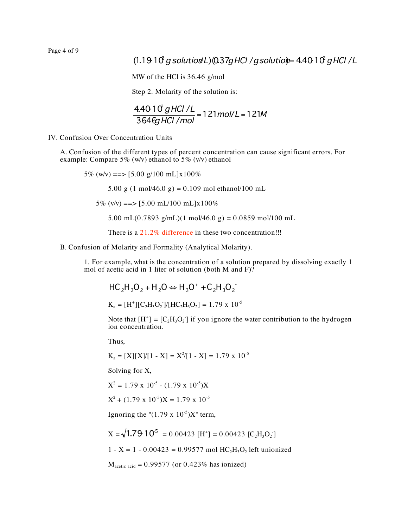Page 4 of 9

## $(1.1910 \text{ g}$  solution L) $(0.37g$  HCl /g solutio $\text{m}$ = 4.4010  $g$  HCl /L

MW of the HCl is 36.46 g/mol

Step 2. Molarity of the solution is:

$$
\frac{4.4010^2 \text{ g HCl/L}}{364 \text{ G/HCl/mol}} = 121 \text{ mol/L} = 121 \text{M}
$$

IV. Confusion Over Concentration Units

A. Confusion of the different types of percent concentration can cause significant errors. For example: Compare 5% (w/v) ethanol to 5% (v/v) ethanol

5% (w/v) = = >  $[5.00 \text{ g}/100 \text{ m}L] \times 100\%$ 

5.00 g (1 mol/46.0 g) = 0.109 mol ethanol/100 mL

5% (v/v) = = >  $[5.00 \text{ mL}/100 \text{ mL}] \times 100\%$ 

5.00 mL(0.7893 g/mL)(1 mol/46.0 g) = 0.0859 mol/100 mL

There is a 21.2% difference in these two concentration!!!

B. Confusion of Molarity and Formality (Analytical Molarity).

1. For example, what is the concentration of a solution prepared by dissolving exactly 1 mol of acetic acid in 1 liter of solution (both M and  $F$ )?

$$
HC_2H_3O_2 + H_2O \Leftrightarrow H_3O^+ + C_2H_3O_2^-
$$

 $K_a = [H^+][C_2H_3O_2]/[HC_2H_3O_2] = 1.79 \times 10^{-5}$ 

Note that  $[H^+] = [C_2H_3O_2]$  if you ignore the water contribution to the hydrogen ion concentration.

Thus,

$$
K_a = [X][X]/[1 - X] = X^2/[1 - X] = 1.79 \times 10^{-5}
$$

Solving for X,

$$
X^2 = 1.79 \times 10^{-5} - (1.79 \times 10^{-5})X
$$

 $X^2 + (1.79 \times 10^{-5})X = 1.79 \times 10^{-5}$ 

Ignoring the " $(1.79 \times 10^{-5})X$ " term,

$$
X = \sqrt{1.79 \cdot 10^5} = 0.00423 \, [\text{H}^+] = 0.00423 \, [\text{C}_2\text{H}_3\text{O}_2]
$$
  
1 - X = 1 - 0.00423 = 0.99577 mol HC<sub>2</sub>H<sub>3</sub>O<sub>2</sub> left unionized  
M<sub>acetic acid</sub> = 0.99577 (or 0.423% has ionized)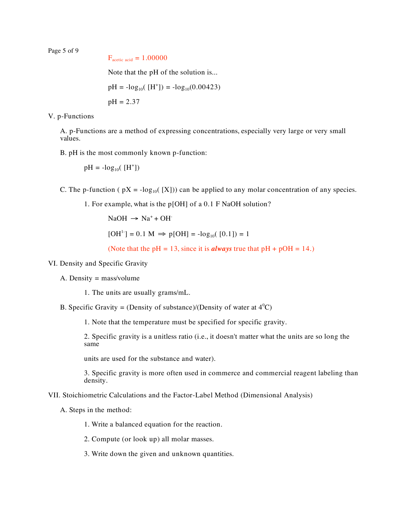Page 5 of 9

```
F_{\text{acetic acid}} = 1.00000
```
Note that the pH of the solution is...

$$
pH = -log_{10}([H^*]) = -log_{10}(0.00423)
$$

$$
pH = 2.37
$$

V. p-Functions

A. p-Functions are a method of expressing concentrations, especially very large or very small values.

B. pH is the most commonly known p-function:

 $pH = -log_{10}([H^+])$ 

C. The p-function (  $pX = -\log_{10}([X]))$  can be applied to any molar concentration of any species.

1. For example, what is the p[OH] of a 0.1 F NaOH solution?

 $NaOH \rightarrow Na^+ + OH^-$ 

 $[OH<sup>1</sup>$ ] = 0.1 M  $\Rightarrow$  p[OH] = -log<sub>10</sub>([0.1]) = 1

(Note that the  $pH = 13$ , since it is *always* true that  $pH + pOH = 14$ .)

## VI. Density and Specific Gravity

A. Density = mass/volume

1. The units are usually grams/mL.

B. Specific Gravity = (Density of substance)/(Density of water at  $4^{\circ}$ C)

1. Note that the temperature must be specified for specific gravity.

2. Specific gravity is a unitless ratio (i.e., it doesn't matter what the units are so long the same

units are used for the substance and water).

3. Specific gravity is more often used in commerce and commercial reagent labeling than density.

VII. Stoichiometric Calculations and the Factor-Label Method (Dimensional Analysis)

A. Steps in the method:

- 1. Write a balanced equation for the reaction.
- 2. Compute (or look up) all molar masses.
- 3. Write down the given and unknown quantities.